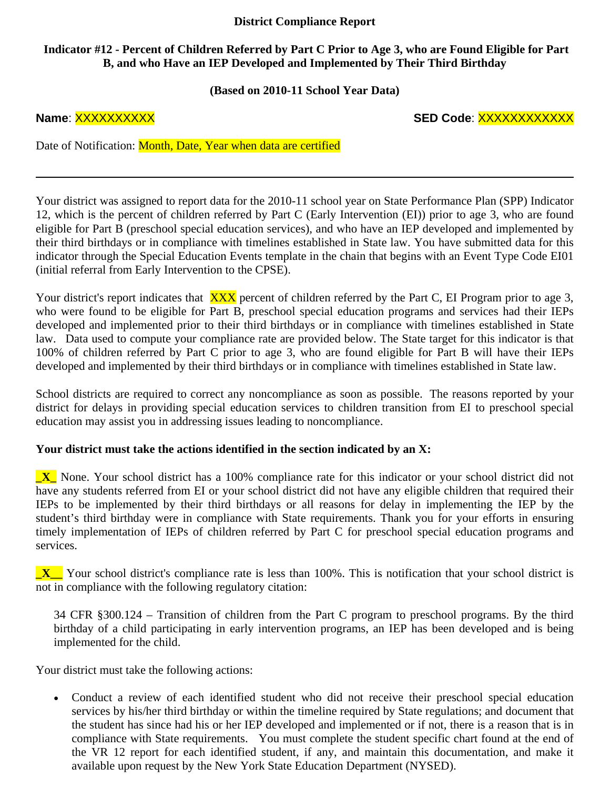## **District Compliance Report**

# **Indicator #12 - Percent of Children Referred by Part C Prior to Age 3, who are Found Eligible for Part B, and who Have an IEP Developed and Implemented by Their Third Birthday**

**(Based on 2010-11 School Year Data)** 

**Name**: XXXXXXXXXX **SED Code**: XXXXXXXXXXXX

Date of Notification: Month, Date, Year when data are certified

Your district was assigned to report data for the 2010-11 school year on State Performance Plan (SPP) Indicator 12, which is the percent of children referred by Part C (Early Intervention (EI)) prior to age 3, who are found eligible for Part B (preschool special education services), and who have an IEP developed and implemented by their third birthdays or in compliance with timelines established in State law. You have submitted data for this indicator through the Special Education Events template in the chain that begins with an Event Type Code EI01 (initial referral from Early Intervention to the CPSE).

Your district's report indicates that XXX percent of children referred by the Part C, EI Program prior to age 3, who were found to be eligible for Part B, preschool special education programs and services had their IEPs developed and implemented prior to their third birthdays or in compliance with timelines established in State law. Data used to compute your compliance rate are provided below. The State target for this indicator is that 100% of children referred by Part C prior to age 3, who are found eligible for Part B will have their IEPs developed and implemented by their third birthdays or in compliance with timelines established in State law.

School districts are required to correct any noncompliance as soon as possible. The reasons reported by your district for delays in providing special education services to children transition from EI to preschool special education may assist you in addressing issues leading to noncompliance.

## **Your district must take the actions identified in the section indicated by an X:**

**\_X\_** None. Your school district has a 100% compliance rate for this indicator or your school district did not have any students referred from EI or your school district did not have any eligible children that required their IEPs to be implemented by their third birthdays or all reasons for delay in implementing the IEP by the student's third birthday were in compliance with State requirements. Thank you for your efforts in ensuring timely implementation of IEPs of children referred by Part C for preschool special education programs and services.

**\_X\_\_** Your school district's compliance rate is less than 100%. This is notification that your school district is not in compliance with the following regulatory citation:

34 CFR §300.124 – Transition of children from the Part C program to preschool programs. By the third birthday of a child participating in early intervention programs, an IEP has been developed and is being implemented for the child.

Your district must take the following actions:

• Conduct a review of each identified student who did not receive their preschool special education services by his/her third birthday or within the timeline required by State regulations; and document that the student has since had his or her IEP developed and implemented or if not, there is a reason that is in compliance with State requirements. You must complete the student specific chart found at the end of the VR 12 report for each identified student, if any, and maintain this documentation, and make it available upon request by the New York State Education Department (NYSED).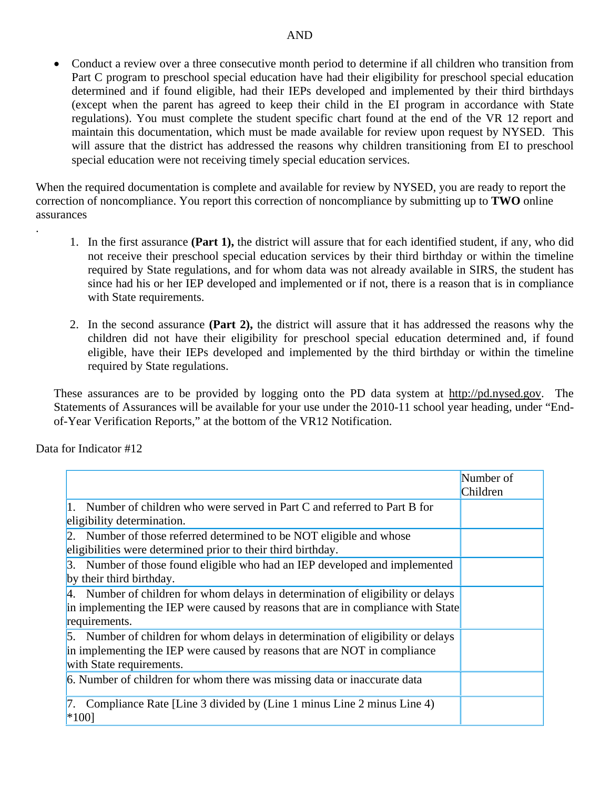• Conduct a review over a three consecutive month period to determine if all children who transition from Part C program to preschool special education have had their eligibility for preschool special education determined and if found eligible, had their IEPs developed and implemented by their third birthdays (except when the parent has agreed to keep their child in the EI program in accordance with State regulations). You must complete the student specific chart found at the end of the VR 12 report and maintain this documentation, which must be made available for review upon request by NYSED. This will assure that the district has addressed the reasons why children transitioning from EI to preschool special education were not receiving timely special education services.

When the required documentation is complete and available for review by NYSED, you are ready to report the correction of noncompliance. You report this correction of noncompliance by submitting up to **TWO** online assurances

- 1. In the first assurance **(Part 1),** the district will assure that for each identified student, if any, who did not receive their preschool special education services by their third birthday or within the timeline required by State regulations, and for whom data was not already available in SIRS, the student has since had his or her IEP developed and implemented or if not, there is a reason that is in compliance with State requirements.
- 2. In the second assurance **(Part 2),** the district will assure that it has addressed the reasons why the children did not have their eligibility for preschool special education determined and, if found eligible, have their IEPs developed and implemented by the third birthday or within the timeline required by State regulations.

These assurances are to be provided by logging onto the PD data system at http://pd.nysed.gov. The Statements of Assurances will be available for your use under the 2010-11 school year heading, under "Endof-Year Verification Reports," at the bottom of the VR12 Notification.

Data for Indicator #12

.

|                                                                                                                                                                                          | Number of<br>Children |
|------------------------------------------------------------------------------------------------------------------------------------------------------------------------------------------|-----------------------|
| Number of children who were served in Part C and referred to Part B for<br>eligibility determination.                                                                                    |                       |
| Number of those referred determined to be NOT eligible and whose<br>eligibilities were determined prior to their third birthday.                                                         |                       |
| 3. Number of those found eligible who had an IEP developed and implemented<br>by their third birthday.                                                                                   |                       |
| 4. Number of children for whom delays in determination of eligibility or delays<br>in implementing the IEP were caused by reasons that are in compliance with State<br>requirements.     |                       |
| 5. Number of children for whom delays in determination of eligibility or delays<br>in implementing the IEP were caused by reasons that are NOT in compliance<br>with State requirements. |                       |
| 6. Number of children for whom there was missing data or inaccurate data                                                                                                                 |                       |
| Compliance Rate [Line 3 divided by (Line 1 minus Line 2 minus Line 4)<br>$*100$                                                                                                          |                       |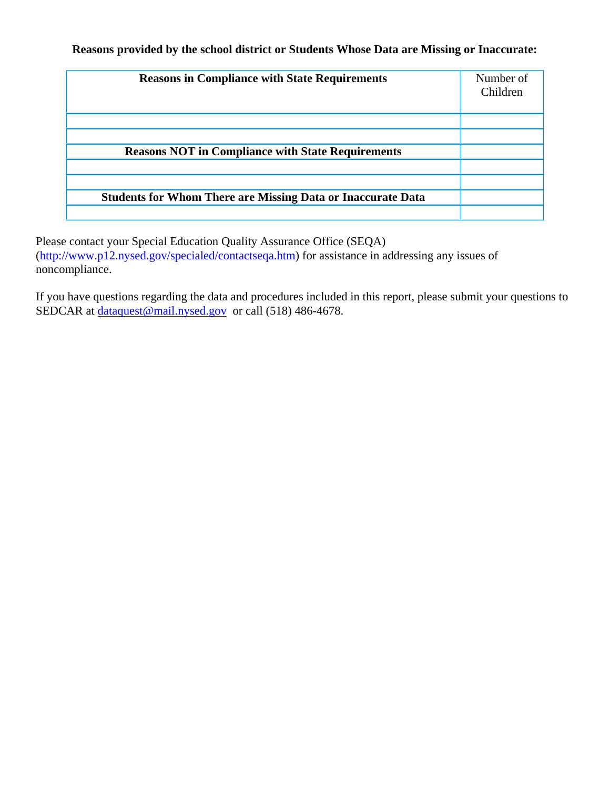**Reasons provided by the school district or Students Whose Data are Missing or Inaccurate:** 

| <b>Reasons in Compliance with State Requirements</b>               | Number of<br>Children |
|--------------------------------------------------------------------|-----------------------|
|                                                                    |                       |
|                                                                    |                       |
| <b>Reasons NOT in Compliance with State Requirements</b>           |                       |
|                                                                    |                       |
|                                                                    |                       |
| <b>Students for Whom There are Missing Data or Inaccurate Data</b> |                       |
|                                                                    |                       |

Please contact your Special Education Quality Assurance Office (SEQA) (http://www.p12.nysed.gov/specialed/contactseqa.htm) for assistance in addressing any issues of noncompliance.

If you have questions regarding the data and procedures included in this report, please submit your questions to SEDCAR at dataquest@mail.nysed.gov or call (518) 486-4678.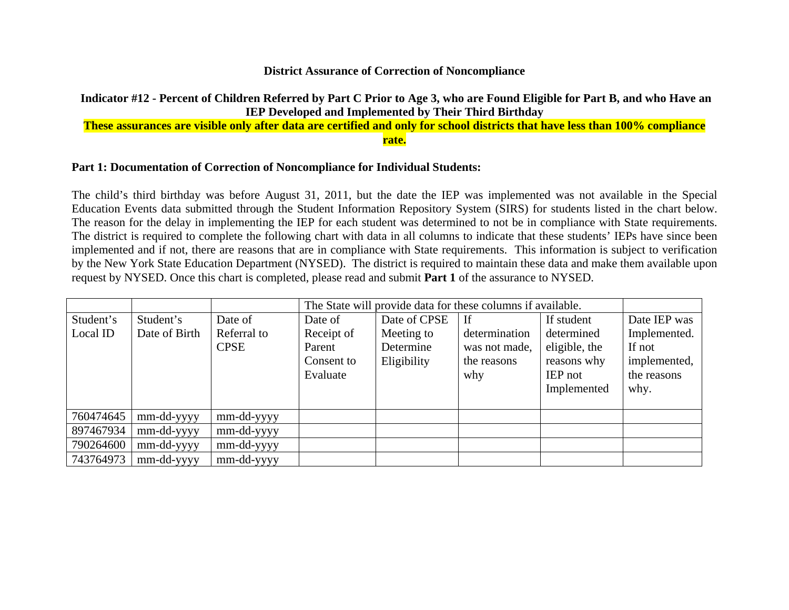#### **District Assurance of Correction of Noncompliance**

## **Indicator #12 - Percent of Children Referred by Part C Prior to Age 3, who are Found Eligible for Part B, and who Have an IEP Developed and Implemented by Their Third Birthday**

## **These assurances are visible only after data are certified and only for school districts that have less than 100% compliance rate.**

### **Part 1: Documentation of Correction of Noncompliance for Individual Students:**

The child's third birthday was before August 31, 2011, but the date the IEP was implemented was not available in the Special Education Events data submitted through the Student Information Repository System (SIRS) for students listed in the chart below. The reason for the delay in implementing the IEP for each student was determined to not be in compliance with State requirements. The district is required to complete the following chart with data in all columns to indicate that these students' IEPs have since been implemented and if not, there are reasons that are in compliance with State requirements. This information is subject to verification by the New York State Education Department (NYSED). The district is required to maintain these data and make them available upon request by NYSED. Once this chart is completed, please read and submit **Part 1** of the assurance to NYSED.

|           |               |             | The State will provide data for these columns if available. |              |               |                |              |
|-----------|---------------|-------------|-------------------------------------------------------------|--------------|---------------|----------------|--------------|
| Student's | Student's     | Date of     | Date of                                                     | Date of CPSE | If            | If student     | Date IEP was |
| Local ID  | Date of Birth | Referral to | Receipt of                                                  | Meeting to   | determination | determined     | Implemented. |
|           |               | <b>CPSE</b> | Parent                                                      | Determine    | was not made, | eligible, the  | If not       |
|           |               |             | Consent to                                                  | Eligibility  | the reasons   | reasons why    | implemented, |
|           |               |             | Evaluate                                                    |              | why           | <b>IEP</b> not | the reasons  |
|           |               |             |                                                             |              |               | Implemented    | why.         |
|           |               |             |                                                             |              |               |                |              |
| 760474645 | mm-dd-yyyy    | mm-dd-yyyy  |                                                             |              |               |                |              |
| 897467934 | mm-dd-yyyy    | mm-dd-yyyy  |                                                             |              |               |                |              |
| 790264600 | mm-dd-yyyy    | mm-dd-yyyy  |                                                             |              |               |                |              |
| 743764973 | mm-dd-yyyy    | mm-dd-yyyy  |                                                             |              |               |                |              |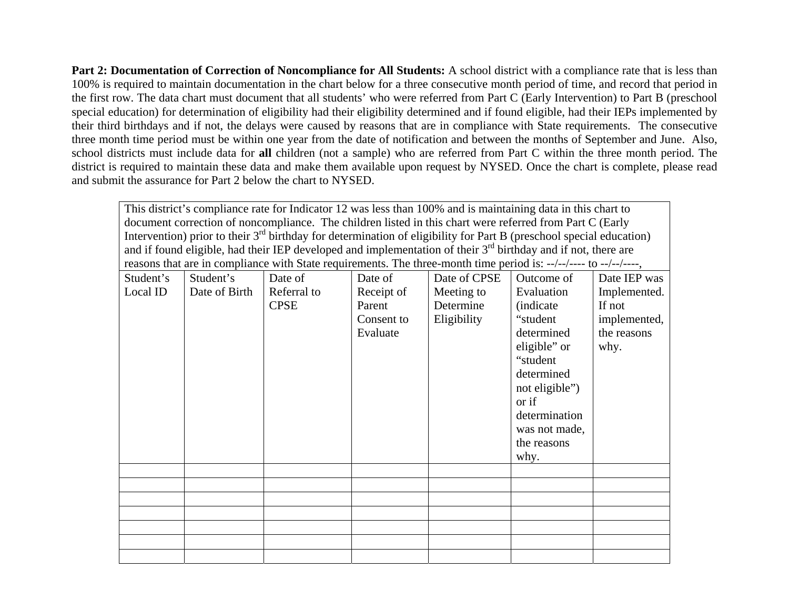**Part 2: Documentation of Correction of Noncompliance for All Students:** A school district with a compliance rate that is less than 100% is required to maintain documentation in the chart below for a three consecutive month period of time, and record that period in the first row. The data chart must document that all students' who were referred from Part C (Early Intervention) to Part B (preschool special education) for determination of eligibility had their eligibility determined and if found eligible, had their IEPs implemented by their third birthdays and if not, the delays were caused by reasons that are in compliance with State requirements. The consecutive three month time period must be within one year from the date of notification and between the months of September and June. Also, school districts must include data for **all** children (not a sample) who are referred from Part C within the three month period. The district is required to maintain these data and make them available upon request by NYSED. Once the chart is complete, please read and submit the assurance for Part 2 below the chart to NYSED.

This district's compliance rate for Indicator 12 was less than 100% and is maintaining data in this chart to document correction of noncompliance. The children listed in this chart were referred from Part C (Early Intervention) prior to their  $3<sup>rd</sup>$  birthday for determination of eligibility for Part B (preschool special education) and if found eligible, had their IEP developed and implementation of their 3<sup>rd</sup> birthday and if not, there are reasons that are in compliance with State requirements. The three-month time period is: --/--/---- to --/--/----,

| Student's | Student's     | Date of     | Date of    | Date of CPSE | Outcome of        | Date IEP was |
|-----------|---------------|-------------|------------|--------------|-------------------|--------------|
| Local ID  | Date of Birth | Referral to | Receipt of | Meeting to   | Evaluation        | Implemented. |
|           |               | <b>CPSE</b> | Parent     | Determine    | <i>(indicate)</i> | If not       |
|           |               |             | Consent to | Eligibility  | "student"         | implemented, |
|           |               |             | Evaluate   |              | determined        | the reasons  |
|           |               |             |            |              | eligible" or      | why.         |
|           |               |             |            |              | "student          |              |
|           |               |             |            |              | determined        |              |
|           |               |             |            |              | not eligible")    |              |
|           |               |             |            |              | or if             |              |
|           |               |             |            |              | determination     |              |
|           |               |             |            |              | was not made,     |              |
|           |               |             |            |              | the reasons       |              |
|           |               |             |            |              | why.              |              |
|           |               |             |            |              |                   |              |
|           |               |             |            |              |                   |              |
|           |               |             |            |              |                   |              |
|           |               |             |            |              |                   |              |
|           |               |             |            |              |                   |              |
|           |               |             |            |              |                   |              |
|           |               |             |            |              |                   |              |